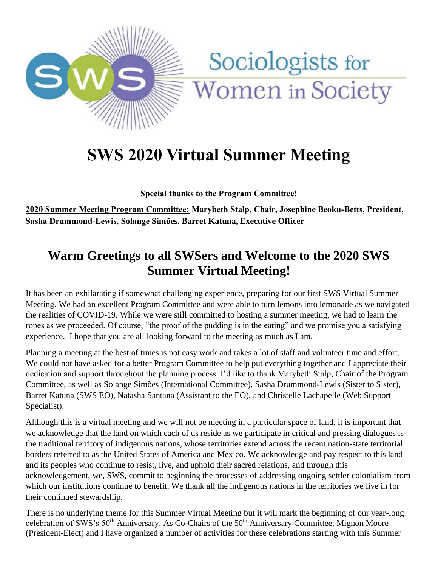

# Sociologists for Women in Society

# **SWS 2020 Virtual Summer Meeting**

**Special thanks to the Program Committee!** 

**2020 Summer Meeting Program Committee: Marybeth Stalp, Chair, Josephine Beoku-Betts, President, Sasha Drummond-Lewis, Solange Simões, Barret Katuna, Executive Officer**

### **Warm Greetings to all SWSers and Welcome to the 2020 SWS Summer Virtual Meeting!**

It has been an exhilarating if somewhat challenging experience, preparing for our first SWS Virtual Summer Meeting. We had an excellent Program Committee and were able to turn lemons into lemonade as we navigated the realities of COVID-19. While we were still committed to hosting a summer meeting, we had to learn the ropes as we proceeded. Of course, "the proof of the pudding is in the eating" and we promise you a satisfying experience. I hope that you are all looking forward to the meeting as much as I am.

Planning a meeting at the best of times is not easy work and takes a lot of staff and volunteer time and effort. We could not have asked for a better Program Committee to help put everything together and I appreciate their dedication and support throughout the planning process. I'd like to thank Marybeth Stalp, Chair of the Program Committee, as well as Solange Simões (International Committee), Sasha Drummond-Lewis (Sister to Sister), Barret Katuna (SWS EO), Natasha Santana (Assistant to the EO), and Christelle Lachapelle (Web Support Specialist).

Although this is a virtual meeting and we will not be meeting in a particular space of land, it is important that we acknowledge that the land on which each of us reside as we participate in critical and pressing dialogues is the traditional territory of indigenous nations, whose territories extend across the recent nation-state territorial borders referred to as the United States of America and Mexico. We acknowledge and pay respect to this land and its peoples who continue to resist, live, and uphold their sacred relations, and through this acknowledgement, we, SWS, commit to beginning the processes of addressing ongoing settler colonialism from which our institutions continue to benefit. We thank all the indigenous nations in the territories we live in for their continued stewardship.

There is no underlying theme for this Summer Virtual Meeting but it will mark the beginning of our year-long celebration of SWS's 50<sup>th</sup> Anniversary. As Co-Chairs of the 50<sup>th</sup> Anniversary Committee, Mignon Moore (President-Elect) and I have organized a number of activities for these celebrations starting with this Summer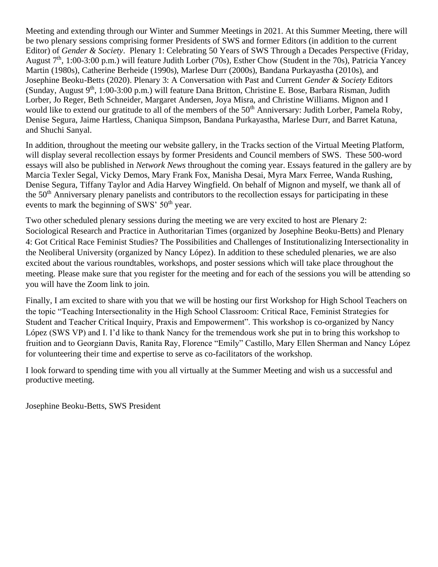Meeting and extending through our Winter and Summer Meetings in 2021. At this Summer Meeting, there will be two plenary sessions comprising former Presidents of SWS and former Editors (in addition to the current Editor) of *Gender & Society*. Plenary 1: Celebrating 50 Years of SWS Through a Decades Perspective (Friday, August  $7<sup>th</sup>$ , 1:00-3:00 p.m.) will feature Judith Lorber (70s), Esther Chow (Student in the 70s), Patricia Yancey Martin (1980s), Catherine Berheide (1990s), Marlese Durr (2000s), Bandana Purkayastha (2010s), and Josephine Beoku-Betts (2020). Plenary 3: A Conversation with Past and Current *Gender & Society* Editors (Sunday, August  $9<sup>th</sup>$ , 1:00-3:00 p.m.) will feature Dana Britton, Christine E. Bose, Barbara Risman, Judith Lorber, Jo Reger, Beth Schneider, Margaret Andersen, Joya Misra, and Christine Williams. Mignon and I would like to extend our gratitude to all of the members of the 50<sup>th</sup> Anniversary: Judith Lorber, Pamela Roby, Denise Segura, Jaime Hartless, Chaniqua Simpson, Bandana Purkayastha, Marlese Durr, and Barret Katuna, and Shuchi Sanyal.

In addition, throughout the meeting our website gallery, in the Tracks section of the Virtual Meeting Platform, will display several recollection essays by former Presidents and Council members of SWS. These 500-word essays will also be published in *Network News* throughout the coming year. Essays featured in the gallery are by Marcia Texler Segal, Vicky Demos, Mary Frank Fox, Manisha Desai, Myra Marx Ferree, Wanda Rushing, Denise Segura, Tiffany Taylor and Adia Harvey Wingfield. On behalf of Mignon and myself, we thank all of the 50<sup>th</sup> Anniversary plenary panelists and contributors to the recollection essays for participating in these events to mark the beginning of SWS'  $50<sup>th</sup>$  year.

Two other scheduled plenary sessions during the meeting we are very excited to host are Plenary 2: Sociological Research and Practice in Authoritarian Times (organized by Josephine Beoku-Betts) and Plenary 4: Got Critical Race Feminist Studies? The Possibilities and Challenges of Institutionalizing Intersectionality in the Neoliberal University (organized by Nancy López). In addition to these scheduled plenaries, we are also excited about the various roundtables, workshops, and poster sessions which will take place throughout the meeting. Please make sure that you register for the meeting and for each of the sessions you will be attending so you will have the Zoom link to join.

Finally, I am excited to share with you that we will be hosting our first Workshop for High School Teachers on the topic "Teaching Intersectionality in the High School Classroom: Critical Race, Feminist Strategies for Student and Teacher Critical Inquiry, Praxis and Empowerment". This workshop is co-organized by Nancy López (SWS VP) and I. I'd like to thank Nancy for the tremendous work she put in to bring this workshop to fruition and to Georgiann Davis, Ranita Ray, Florence "Emily" Castillo, Mary Ellen Sherman and Nancy López for volunteering their time and expertise to serve as co-facilitators of the workshop.

I look forward to spending time with you all virtually at the Summer Meeting and wish us a successful and productive meeting.

Josephine Beoku-Betts, SWS President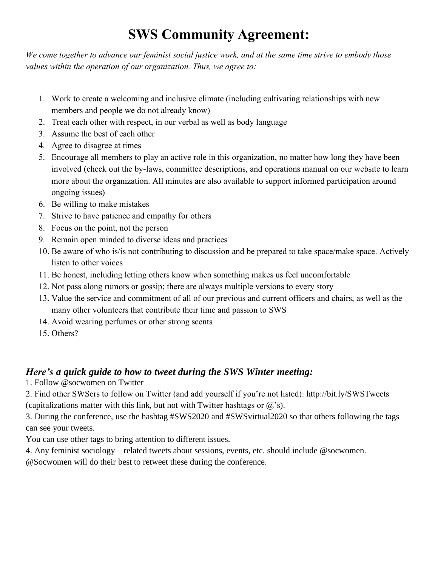## **SWS Community Agreement:**

*We come together to advance our feminist social justice work, and at the same time strive to embody those values within the operation of our organization. Thus, we agree to:*

- 1. Work to create a welcoming and inclusive climate (including cultivating relationships with new members and people we do not already know)
- 2. Treat each other with respect, in our verbal as well as body language
- 3. Assume the best of each other
- 4. Agree to disagree at times
- 5. Encourage all members to play an active role in this organization, no matter how long they have been involved (check out the by-laws, committee descriptions, and operations manual on our website to learn more about the organization. All minutes are also available to support informed participation around ongoing issues)
- 6. Be willing to make mistakes
- 7. Strive to have patience and empathy for others
- 8. Focus on the point, not the person
- 9. Remain open minded to diverse ideas and practices
- 10. Be aware of who is/is not contributing to discussion and be prepared to take space/make space. Actively listen to other voices
- 11. Be honest, including letting others know when something makes us feel uncomfortable
- 12. Not pass along rumors or gossip; there are always multiple versions to every story
- 13. Value the service and commitment of all of our previous and current officers and chairs, as well as the many other volunteers that contribute their time and passion to SWS
- 14. Avoid wearing perfumes or other strong scents
- 15. Others?

#### *Here's a quick guide to how to tweet during the SWS Winter meeting:*

1. Follow @socwomen on Twitter

2. Find other SWSers to follow on Twitter (and add yourself if you're not listed): http://bit.ly/SWSTweets (capitalizations matter with this link, but not with Twitter hashtags or  $\omega$ 's).

3. During the conference, use the hashtag #SWS2020 and #SWSvirtual2020 so that others following the tags can see your tweets.

You can use other tags to bring attention to different issues.

4. Any feminist sociology—related tweets about sessions, events, etc. should include @socwomen.

@Socwomen will do their best to retweet these during the conference.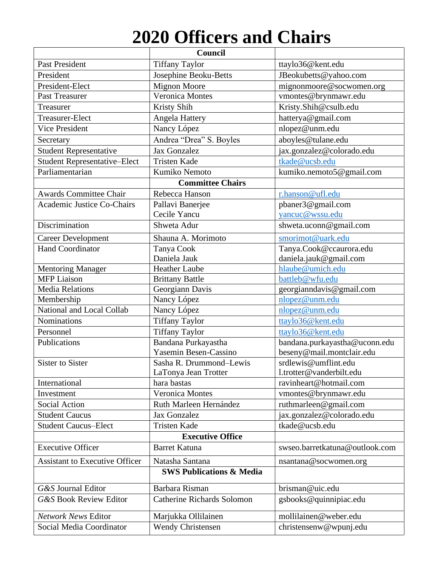# **2020 Officers and Chairs**

|                                       | Council                             |                                |
|---------------------------------------|-------------------------------------|--------------------------------|
| <b>Past President</b>                 | <b>Tiffany Taylor</b>               | ttaylo36@kent.edu              |
| President                             | Josephine Beoku-Betts               | JBeokubetts@yahoo.com          |
| President-Elect                       | <b>Mignon Moore</b>                 | mignonmoore@socwomen.org       |
| Past Treasurer                        | Veronica Montes                     | vmontes@brynmawr.edu           |
| Treasurer                             | Kristy Shih                         | Kristy.Shih@csulb.edu          |
| Treasurer-Elect                       | Angela Hattery                      | hatterya@gmail.com             |
| <b>Vice President</b>                 | Nancy López                         | nlopez@unm.edu                 |
| Secretary                             | Andrea "Drea" S. Boyles             | aboyles@tulane.edu             |
| <b>Student Representative</b>         | Jax Gonzalez                        | jax.gonzalez@colorado.edu      |
| <b>Student Representative-Elect</b>   | <b>Tristen Kade</b>                 | tkade@ucsb.edu                 |
| Parliamentarian                       | Kumiko Nemoto                       | kumiko.nemoto5@gmail.com       |
|                                       | <b>Committee Chairs</b>             |                                |
| <b>Awards Committee Chair</b>         | Rebecca Hanson                      | r.hanson@ufl.edu               |
| <b>Academic Justice Co-Chairs</b>     | Pallavi Banerjee                    | pbaner3@gmail.com              |
|                                       | Cecile Yancu                        | yancuc@wssu.edu                |
| Discrimination                        | Shweta Adur                         | shweta.uconn@gmail.com         |
| <b>Career Development</b>             | Shauna A. Morimoto                  | smorimot@uark.edu              |
| <b>Hand Coordinator</b>               | Tanya Cook                          | Tanya.Cook@ccaurora.edu        |
|                                       | Daniela Jauk                        | daniela.jauk@gmail.com         |
| <b>Mentoring Manager</b>              | <b>Heather Laube</b>                | hlaube@umich.edu               |
| <b>MFP</b> Liaison                    | <b>Brittany Battle</b>              | battleb@wfu.edu                |
| <b>Media Relations</b>                | Georgiann Davis                     | georgianndavis@gmail.com       |
| Membership                            | Nancy López                         | nlopez@unm.edu                 |
| National and Local Collab             | Nancy López                         | nlopez@unm.edu                 |
| Nominations                           | <b>Tiffany Taylor</b>               | ttaylo36@kent.edu              |
| Personnel                             | <b>Tiffany Taylor</b>               | ttaylo36@kent.edu              |
| Publications                          | Bandana Purkayastha                 | bandana.purkayastha@uconn.edu  |
|                                       | Yasemin Besen-Cassino               | beseny@mail.montclair.edu      |
| <b>Sister to Sister</b>               | Sasha R. Drummond-Lewis             | srdlewis@umflint.edu           |
|                                       | LaTonya Jean Trotter                | l.trotter@vanderbilt.edu       |
| International                         | hara bastas                         | ravinheart@hotmail.com         |
| Investment                            | Veronica Montes                     | vmontes@brynmawr.edu           |
| <b>Social Action</b>                  | Ruth Marleen Hernández              | ruthmarleen@gmail.com          |
| <b>Student Caucus</b>                 | Jax Gonzalez                        | jax.gonzalez@colorado.edu      |
| <b>Student Caucus-Elect</b>           | <b>Tristen Kade</b>                 | tkade@ucsb.edu                 |
|                                       | <b>Executive Office</b>             |                                |
| <b>Executive Officer</b>              | <b>Barret Katuna</b>                | swseo.barretkatuna@outlook.com |
| <b>Assistant to Executive Officer</b> | Natasha Santana                     | nsantana@socwomen.org          |
|                                       | <b>SWS Publications &amp; Media</b> |                                |
| G&S Journal Editor                    | Barbara Risman                      | brisman@uic.edu                |
| <b>G&amp;S Book Review Editor</b>     | <b>Catherine Richards Solomon</b>   | gsbooks@quinnipiac.edu         |
| Network News Editor                   | Marjukka Ollilainen                 | mollilainen@weber.edu          |
| Social Media Coordinator              | <b>Wendy Christensen</b>            | christensenw@wpunj.edu         |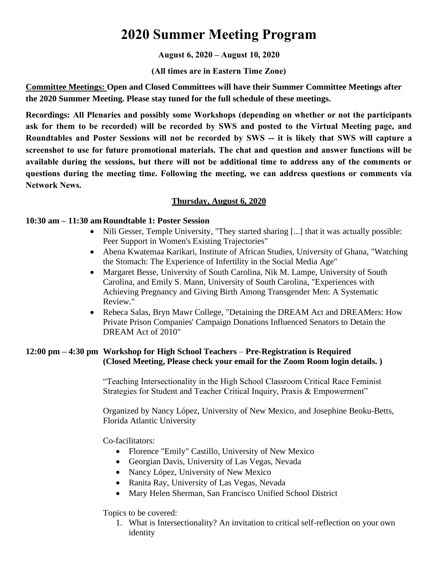### **2020 Summer Meeting Program**

#### **August 6, 2020 – August 10, 2020**

**(All times are in Eastern Time Zone)** 

**Committee Meetings: Open and Closed Committees will have their Summer Committee Meetings after the 2020 Summer Meeting. Please stay tuned for the full schedule of these meetings.** 

**Recordings: All Plenaries and possibly some Workshops (depending on whether or not the participants ask for them to be recorded) will be recorded by SWS and posted to the Virtual Meeting page, and Roundtables and Poster Sessions will not be recorded by SWS -- it is likely that SWS will capture a screenshot to use for future promotional materials. The chat and question and answer functions will be available during the sessions, but there will not be additional time to address any of the comments or questions during the meeting time. Following the meeting, we can address questions or comments via Network News.**

#### **Thursday, August 6, 2020**

#### **10:30 am – 11:30 am Roundtable 1: Poster Session**

- Nili Gesser, Temple University, "They started sharing [...] that it was actually possible: Peer Support in Women's Existing Trajectories"
- Abena Kwatemaa Karikari, Institute of African Studies, University of Ghana, "Watching the Stomach: The Experience of Infertility in the Social Media Age"
- Margaret Besse, University of South Carolina, Nik M. Lampe, University of South Carolina, and Emily S. Mann, University of South Carolina, "Experiences with Achieving Pregnancy and Giving Birth Among Transgender Men: A Systematic Review."
- Rebeca Salas, Bryn Mawr College, "Detaining the DREAM Act and DREAMers: How Private Prison Companies' Campaign Donations Influenced Senators to Detain the DREAM Act of 2010"

#### **12:00 pm – 4:30 pm Workshop for High School Teachers** – **Pre-Registration is Required (Closed Meeting, Please check your email for the Zoom Room login details. )**

"Teaching Intersectionality in the High School Classroom Critical Race Feminist Strategies for Student and Teacher Critical Inquiry, Praxis & Empowerment"

Organized by Nancy López, University of New Mexico, and Josephine Beoku-Betts, Florida Atlantic University

Co-facilitators:

- Florence "Emily" Castillo, University of New Mexico
- Georgian Davis, University of Las Vegas, Nevada
- Nancy López, University of New Mexico
- Ranita Ray, University of Las Vegas, Nevada
- Mary Helen Sherman, San Francisco Unified School District

Topics to be covered:

1. What is Intersectionality? An invitation to critical self-reflection on your own identity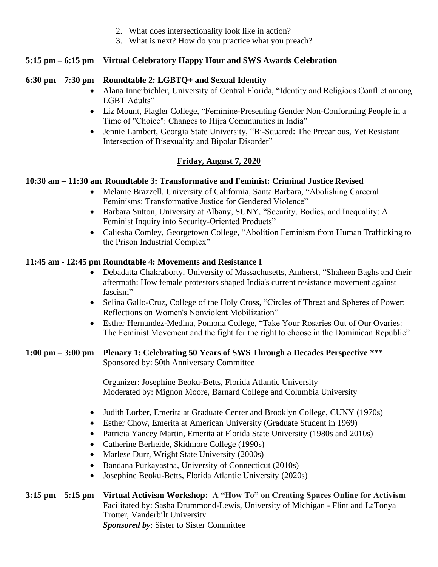- 2. What does intersectionality look like in action?
- 3. What is next? How do you practice what you preach?

#### **5:15 pm – 6:15 pm Virtual Celebratory Happy Hour and SWS Awards Celebration**

#### **6:30 pm – 7:30 pm Roundtable 2: LGBTQ+ and Sexual Identity**

- Alana Innerbichler, University of Central Florida, "Identity and Religious Conflict among LGBT Adults"
- Liz Mount, Flagler College, "Feminine-Presenting Gender Non-Conforming People in a Time of "Choice": Changes to Hijra Communities in India"
- Jennie Lambert, Georgia State University, "Bi-Squared: The Precarious, Yet Resistant Intersection of Bisexuality and Bipolar Disorder"

#### **Friday, August 7, 2020**

#### **10:30 am – 11:30 am Roundtable 3: Transformative and Feminist: Criminal Justice Revised**

- Melanie Brazzell, University of California, Santa Barbara, "Abolishing Carceral Feminisms: Transformative Justice for Gendered Violence"
- Barbara Sutton, University at Albany, SUNY, "Security, Bodies, and Inequality: A Feminist Inquiry into Security-Oriented Products"
- Caliesha Comley, Georgetown College, "Abolition Feminism from Human Trafficking to the Prison Industrial Complex"

#### **11:45 am - 12:45 pm Roundtable 4: Movements and Resistance I**

- Debadatta Chakraborty, University of Massachusetts, Amherst, "Shaheen Baghs and their aftermath: How female protestors shaped India's current resistance movement against fascism"
- Selina Gallo-Cruz, College of the Holy Cross, "Circles of Threat and Spheres of Power: Reflections on Women's Nonviolent Mobilization"
- Esther Hernandez-Medina, Pomona College, "Take Your Rosaries Out of Our Ovaries: The Feminist Movement and the fight for the right to choose in the Dominican Republic"

#### **1:00 pm – 3:00 pm Plenary 1: Celebrating 50 Years of SWS Through a Decades Perspective \*\*\*** Sponsored by: 50th Anniversary Committee

Organizer: Josephine Beoku-Betts, Florida Atlantic University Moderated by: Mignon Moore, Barnard College and Columbia University

- Judith Lorber, Emerita at Graduate Center and Brooklyn College, CUNY (1970s)
- Esther Chow, Emerita at American University (Graduate Student in 1969)
- Patricia Yancey Martin, Emerita at Florida State University (1980s and 2010s)
- Catherine Berheide, Skidmore College (1990s)
- Marlese Durr, Wright State University (2000s)
- Bandana Purkayastha, University of Connecticut (2010s)
- Josephine Beoku-Betts, Florida Atlantic University (2020s)

#### **3:15 pm – 5:15 pm Virtual Activism Workshop: A "How To" on Creating Spaces Online for Activism** Facilitated by: Sasha Drummond-Lewis, University of Michigan - Flint and LaTonya Trotter, Vanderbilt University *Sponsored by*: Sister to Sister Committee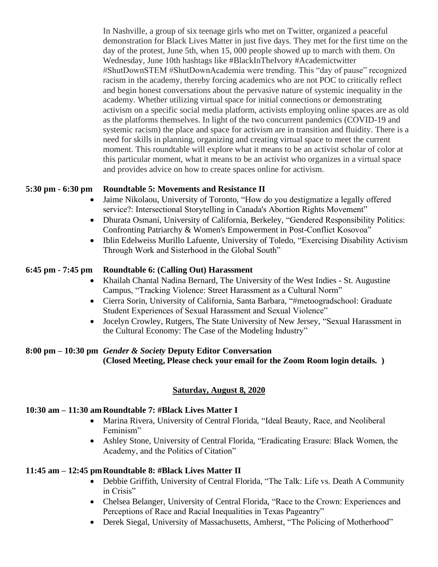In Nashville, a group of six teenage girls who met on Twitter, organized a peaceful demonstration for Black Lives Matter in just five days. They met for the first time on the day of the protest, June 5th, when 15, 000 people showed up to march with them. On Wednesday, June 10th hashtags like #BlackInTheIvory #Academictwitter #ShutDownSTEM #ShutDownAcademia were trending. This "day of pause" recognized racism in the academy, thereby forcing academics who are not POC to critically reflect and begin honest conversations about the pervasive nature of systemic inequality in the academy. Whether utilizing virtual space for initial connections or demonstrating activism on a specific social media platform, activists employing online spaces are as old as the platforms themselves. In light of the two concurrent pandemics (COVID-19 and systemic racism) the place and space for activism are in transition and fluidity. There is a need for skills in planning, organizing and creating virtual space to meet the current moment. This roundtable will explore what it means to be an activist scholar of color at this particular moment, what it means to be an activist who organizes in a virtual space and provides advice on how to create spaces online for activism.

#### **5:30 pm - 6:30 pm Roundtable 5: Movements and Resistance II**

- Jaime Nikolaou, University of Toronto, "How do you destigmatize a legally offered service?: Intersectional Storytelling in Canada's Abortion Rights Movement"
- Dhurata Osmani, University of California, Berkeley, "Gendered Responsibility Politics: Confronting Patriarchy & Women's Empowerment in Post-Conflict Kosovoa"
- Iblin Edelweiss Murillo Lafuente, University of Toledo, "Exercising Disability Activism Through Work and Sisterhood in the Global South"

#### **6:45 pm - 7:45 pm Roundtable 6: (Calling Out) Harassment**

- Khailah Chantal Nadina Bernard, The University of the West Indies St. Augustine Campus, "Tracking Violence: Street Harassment as a Cultural Norm"
- Cierra Sorin, University of California, Santa Barbara, "#metoogradschool: Graduate Student Experiences of Sexual Harassment and Sexual Violence"
- Jocelyn Crowley, Rutgers, The State University of New Jersey, "Sexual Harassment in the Cultural Economy: The Case of the Modeling Industry"

#### **8:00 pm – 10:30 pm** *Gender & Society* **Deputy Editor Conversation (Closed Meeting, Please check your email for the Zoom Room login details. )**

#### **Saturday, August 8, 2020**

#### **10:30 am – 11:30 am Roundtable 7: #Black Lives Matter I**

- Marina Rivera, University of Central Florida, "Ideal Beauty, Race, and Neoliberal Feminism"
- Ashley Stone, University of Central Florida, "Eradicating Erasure: Black Women, the Academy, and the Politics of Citation"

#### **11:45 am – 12:45 pmRoundtable 8: #Black Lives Matter II**

- Debbie Griffith, University of Central Florida, "The Talk: Life vs. Death A Community in Crisis"
- Chelsea Belanger, University of Central Florida, "Race to the Crown: Experiences and Perceptions of Race and Racial Inequalities in Texas Pageantry"
- Derek Siegal, University of Massachusetts, Amherst, "The Policing of Motherhood"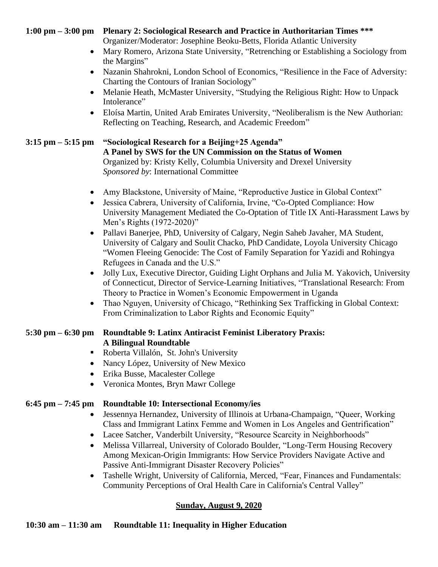#### **1:00 pm – 3:00 pm Plenary 2: Sociological Research and Practice in Authoritarian Times \*\*\***

Organizer/Moderator: Josephine Beoku-Betts, Florida Atlantic University

- Mary Romero, Arizona State University, "Retrenching or Establishing a Sociology from the Margins"
- Nazanin Shahrokni, London School of Economics, "Resilience in the Face of Adversity: Charting the Contours of Iranian Sociology"
- Melanie Heath, McMaster University, "Studying the Religious Right: How to Unpack Intolerance"
- Eloísa Martin, United Arab Emirates University, "Neoliberalism is the New Authorian: Reflecting on Teaching, Research, and Academic Freedom"

#### **3:15 pm – 5:15 pm "Sociological Research for a Beijing+25 Agenda" A Panel by SWS for the UN Commission on the Status of Women** Organized by: Kristy Kelly, Columbia University and Drexel University

*Sponsored by*: International Committee

- Amy Blackstone, University of Maine, "Reproductive Justice in Global Context"
- Jessica Cabrera, University of California, Irvine, "Co-Opted Compliance: How University Management Mediated the Co-Optation of Title IX Anti-Harassment Laws by Men's Rights (1972-2020)"
- Pallavi Banerjee, PhD, University of Calgary, Negin Saheb Javaher, MA Student, University of Calgary and Soulit Chacko, PhD Candidate, Loyola University Chicago "Women Fleeing Genocide: The Cost of Family Separation for Yazidi and Rohingya Refugees in Canada and the U.S."
- Jolly Lux, Executive Director, Guiding Light Orphans and Julia M. Yakovich, University of Connecticut, Director of Service-Learning Initiatives, "Translational Research: From Theory to Practice in Women's Economic Empowerment in Uganda
- Thao Nguyen, University of Chicago, "Rethinking Sex Trafficking in Global Context: From Criminalization to Labor Rights and Economic Equity"

#### **5:30 pm – 6:30 pm Roundtable 9: Latinx Antiracist Feminist Liberatory Praxis: A Bilingual Roundtable**

- Roberta Villalón, St. John's University
- Nancy López, University of New Mexico
- Erika Busse, Macalester College
- Veronica Montes, Bryn Mawr College

#### **6:45 pm – 7:45 pm Roundtable 10: Intersectional Economy/ies**

- Jessennya Hernandez, University of Illinois at Urbana-Champaign, "Queer, Working Class and Immigrant Latinx Femme and Women in Los Angeles and Gentrification"
- Lacee Satcher, Vanderbilt University, "Resource Scarcity in Neighborhoods"
- Melissa Villarreal, University of Colorado Boulder, "Long-Term Housing Recovery Among Mexican-Origin Immigrants: How Service Providers Navigate Active and Passive Anti-Immigrant Disaster Recovery Policies"
- Tashelle Wright, University of California, Merced, "Fear, Finances and Fundamentals: Community Perceptions of Oral Health Care in California's Central Valley"

#### **Sunday, August 9, 2020**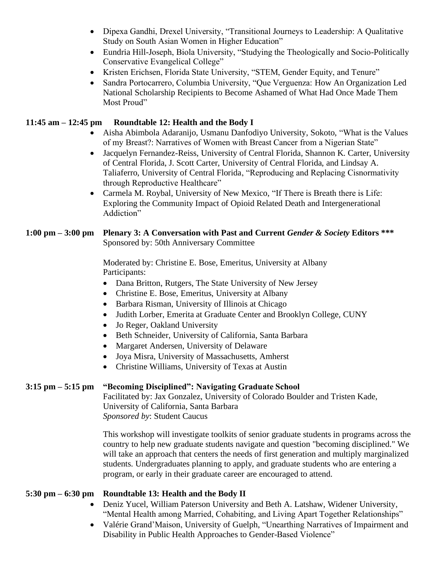- Dipexa Gandhi, Drexel University, "Transitional Journeys to Leadership: A Qualitative Study on South Asian Women in Higher Education"
- Eundria Hill-Joseph, Biola University, "Studying the Theologically and Socio-Politically Conservative Evangelical College"
- Kristen Erichsen, Florida State University, "STEM, Gender Equity, and Tenure"
- Sandra Portocarrero, Columbia University, "Que Verguenza: How An Organization Led National Scholarship Recipients to Become Ashamed of What Had Once Made Them Most Proud"

#### **11:45 am – 12:45 pm Roundtable 12: Health and the Body I**

- Aisha Abimbola Adaranijo, Usmanu Danfodiyo University, Sokoto, "What is the Values of my Breast?: Narratives of Women with Breast Cancer from a Nigerian State"
- Jacquelyn Fernandez-Reiss, University of Central Florida, Shannon K. Carter, University of Central Florida, J. Scott Carter, University of Central Florida, and Lindsay A. Taliaferro, University of Central Florida, "Reproducing and Replacing Cisnormativity through Reproductive Healthcare"
- Carmela M. Roybal, University of New Mexico, "If There is Breath there is Life: Exploring the Community Impact of Opioid Related Death and Intergenerational Addiction"

#### **1:00 pm – 3:00 pm Plenary 3: A Conversation with Past and Current** *Gender & Society* **Editors \*\*\*** Sponsored by: 50th Anniversary Committee

Moderated by: Christine E. Bose, Emeritus, University at Albany Participants:

- Dana Britton, Rutgers, The State University of New Jersey
- Christine E. Bose, Emeritus, University at Albany
- Barbara Risman, University of Illinois at Chicago
- Judith Lorber, Emerita at Graduate Center and Brooklyn College, CUNY
- Jo Reger, Oakland University
- Beth Schneider, University of California, Santa Barbara
- Margaret Andersen, University of Delaware
- Joya Misra, University of Massachusetts, Amherst
- Christine Williams, University of Texas at Austin

#### **3:15 pm – 5:15 pm "Becoming Disciplined": Navigating Graduate School**

Facilitated by: Jax Gonzalez, University of Colorado Boulder and Tristen Kade, University of California, Santa Barbara *Sponsored by*: Student Caucus

This workshop will investigate toolkits of senior graduate students in programs across the country to help new graduate students navigate and question "becoming disciplined." We will take an approach that centers the needs of first generation and multiply marginalized students. Undergraduates planning to apply, and graduate students who are entering a program, or early in their graduate career are encouraged to attend.

#### **5:30 pm – 6:30 pm Roundtable 13: Health and the Body II**

- Deniz Yucel, William Paterson University and Beth A. Latshaw, Widener University, "Mental Health among Married, Cohabiting, and Living Apart Together Relationships"
- Valérie Grand'Maison, University of Guelph, "Unearthing Narratives of Impairment and Disability in Public Health Approaches to Gender-Based Violence"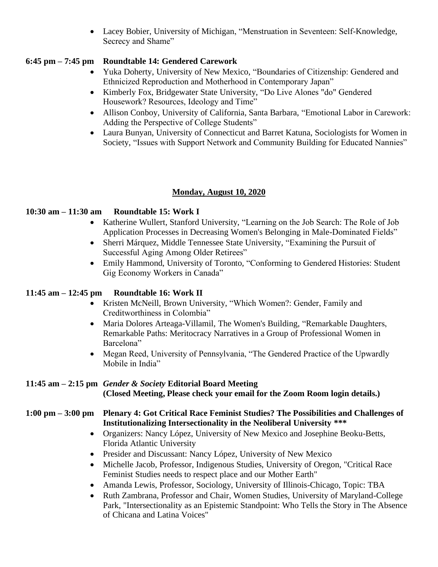• Lacey Bobier, University of Michigan, "Menstruation in Seventeen: Self-Knowledge, Secrecy and Shame"

#### **6:45 pm – 7:45 pm Roundtable 14: Gendered Carework**

- Yuka Doherty, University of New Mexico, "Boundaries of Citizenship: Gendered and Ethnicized Reproduction and Motherhood in Contemporary Japan"
- Kimberly Fox, Bridgewater State University, "Do Live Alones "do" Gendered Housework? Resources, Ideology and Time"
- Allison Conboy, University of California, Santa Barbara, "Emotional Labor in Carework: Adding the Perspective of College Students"
- Laura Bunyan, University of Connecticut and Barret Katuna, Sociologists for Women in Society, "Issues with Support Network and Community Building for Educated Nannies"

#### **Monday, August 10, 2020**

#### **10:30 am – 11:30 am Roundtable 15: Work I**

- Katherine Wullert, Stanford University, "Learning on the Job Search: The Role of Job Application Processes in Decreasing Women's Belonging in Male-Dominated Fields"
- Sherri Márquez, Middle Tennessee State University, "Examining the Pursuit of Successful Aging Among Older Retirees"
- Emily Hammond, University of Toronto, "Conforming to Gendered Histories: Student Gig Economy Workers in Canada"

#### **11:45 am – 12:45 pm Roundtable 16: Work II**

- Kristen McNeill, Brown University, "Which Women?: Gender, Family and Creditworthiness in Colombia"
- Maria Dolores Arteaga-Villamil, The Women's Building, "Remarkable Daughters, Remarkable Paths: Meritocracy Narratives in a Group of Professional Women in Barcelona"
- Megan Reed, University of Pennsylvania, "The Gendered Practice of the Upwardly Mobile in India"

#### **11:45 am – 2:15 pm** *Gender & Society* **Editorial Board Meeting (Closed Meeting, Please check your email for the Zoom Room login details.)**

#### **1:00 pm – 3:00 pm Plenary 4: Got Critical Race Feminist Studies? The Possibilities and Challenges of Institutionalizing Intersectionality in the Neoliberal University \*\*\***

- Organizers: Nancy López, University of New Mexico and Josephine Beoku-Betts, Florida Atlantic University
- Presider and Discussant: Nancy López, University of New Mexico
- Michelle Jacob, Professor, Indigenous Studies, University of Oregon, "Critical Race Feminist Studies needs to respect place and our Mother Earth"
- Amanda Lewis, Professor, Sociology, University of Illinois-Chicago, Topic: TBA
- Ruth Zambrana, Professor and Chair, Women Studies, University of Maryland-College Park, "Intersectionality as an Epistemic Standpoint: Who Tells the Story in The Absence of Chicana and Latina Voices"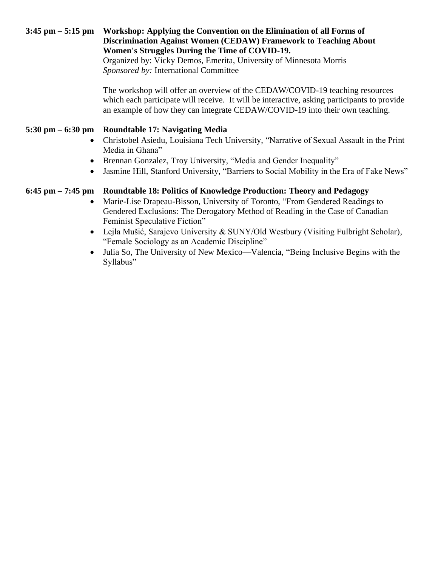#### **3:45 pm – 5:15 pm Workshop: Applying the Convention on the Elimination of all Forms of Discrimination Against Women (CEDAW) Framework to Teaching About Women's Struggles During the Time of COVID-19.**

Organized by: Vicky Demos, Emerita, University of Minnesota Morris *Sponsored by:* International Committee

The workshop will offer an overview of the CEDAW/COVID-19 teaching resources which each participate will receive. It will be interactive, asking participants to provide an example of how they can integrate CEDAW/COVID-19 into their own teaching.

#### **5:30 pm – 6:30 pm Roundtable 17: Navigating Media**

- Christobel Asiedu, Louisiana Tech University, "Narrative of Sexual Assault in the Print Media in Ghana"
- Brennan Gonzalez, Troy University, "Media and Gender Inequality"
- Jasmine Hill, Stanford University, "Barriers to Social Mobility in the Era of Fake News"

#### **6:45 pm – 7:45 pm Roundtable 18: Politics of Knowledge Production: Theory and Pedagogy**

- Marie-Lise Drapeau-Bisson, University of Toronto, "From Gendered Readings to Gendered Exclusions: The Derogatory Method of Reading in the Case of Canadian Feminist Speculative Fiction"
- Lejla Mušić, Sarajevo University & SUNY/Old Westbury (Visiting Fulbright Scholar), "Female Sociology as an Academic Discipline"
- Julia So, The University of New Mexico—Valencia, "Being Inclusive Begins with the Syllabus"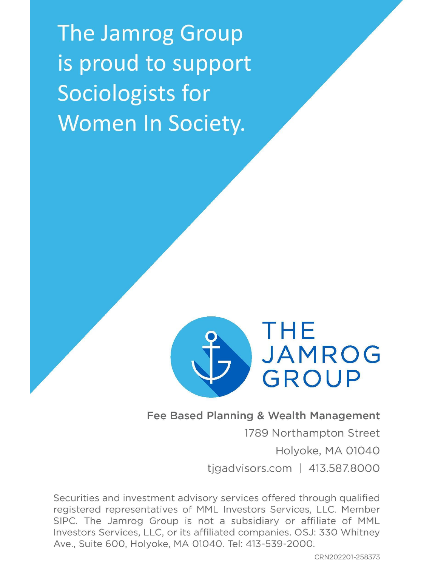The Jamrog Group is proud to support Sociologists for Women In Society.



#### Fee Based Planning & Wealth Management

1789 Northampton Street Holyoke, MA 01040 tigadvisors.com |  $413.587.8000$ 

Securities and investment advisory services offered through qualified registered representatives of MML Investors Services, LLC. Member SIPC. The Jamrog Group is not a subsidiary or affiliate of MML Investors Services, LLC, or its affiliated companies. OSJ: 330 Whitney Ave., Suite 600, Holyoke, MA 01040. Tel: 413-539-2000.

CRN202201-258373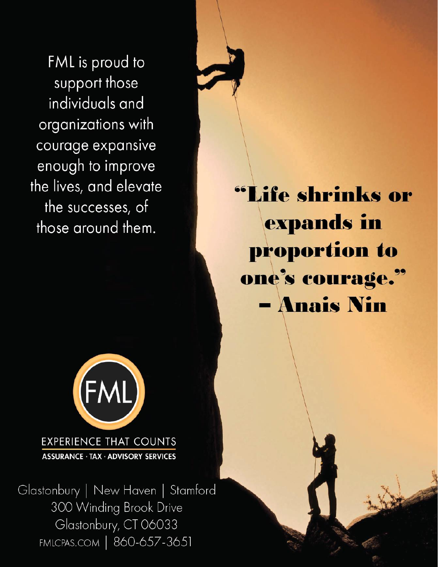FML is proud to support those individuals and organizations with courage expansive enough to improve the lives, and elevate the successes, of those around them.

"Life shrinks or expands in proportion to one's courage." - Anais Nin



**EXPERIENCE THAT COUNTS ASSURANCE · TAX · ADVISORY SERVICES** 

Glastonbury | New Haven | Stamford 300 Winding Brook Drive Glastonbury, CT 06033 FMLCPAS.COM | 860-657-3651